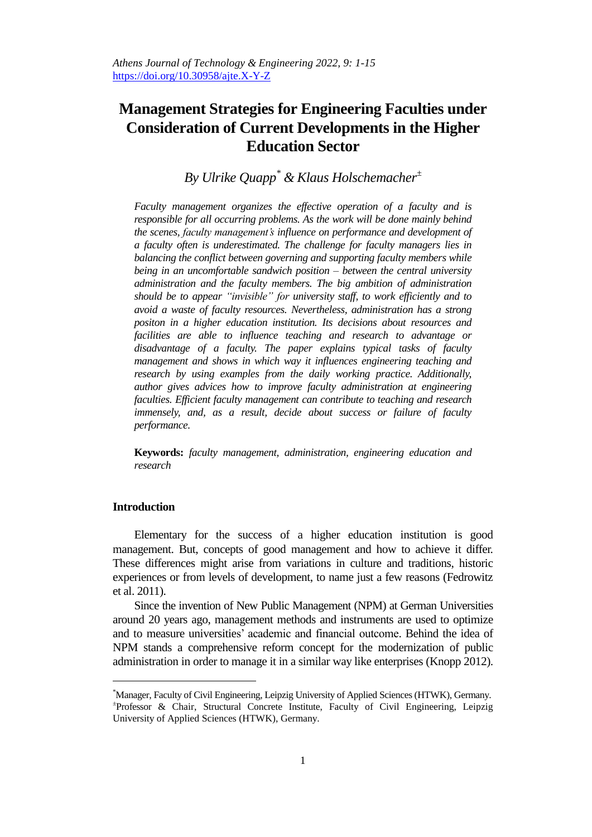# **Management Strategies for Engineering Faculties under Consideration of Current Developments in the Higher Education Sector**

*By Ulrike Quapp\* & Klaus Holschemacher<sup>±</sup>*

*Faculty management organizes the effective operation of a faculty and is responsible for all occurring problems. As the work will be done mainly behind the scenes, faculty management's influence on performance and development of a faculty often is underestimated. The challenge for faculty managers lies in balancing the conflict between governing and supporting faculty members while being in an uncomfortable sandwich position – between the central university administration and the faculty members. The big ambition of administration should be to appear "invisible" for university staff, to work efficiently and to avoid a waste of faculty resources. Nevertheless, administration has a strong positon in a higher education institution. Its decisions about resources and facilities are able to influence teaching and research to advantage or disadvantage of a faculty. The paper explains typical tasks of faculty management and shows in which way it influences engineering teaching and research by using examples from the daily working practice. Additionally, author gives advices how to improve faculty administration at engineering faculties. Efficient faculty management can contribute to teaching and research immensely, and, as a result, decide about success or failure of faculty performance.*

**Keywords:** *faculty management, administration, engineering education and research* 

## **Introduction**

 $\overline{a}$ 

Elementary for the success of a higher education institution is good management. But, concepts of good management and how to achieve it differ. These differences might arise from variations in culture and traditions, historic experiences or from levels of development, to name just a few reasons (Fedrowitz et al. 2011).

Since the invention of New Public Management (NPM) at German Universities around 20 years ago, management methods and instruments are used to optimize and to measure universities' academic and financial outcome. Behind the idea of NPM stands a comprehensive reform concept for the modernization of public administration in order to manage it in a similar way like enterprises (Knopp 2012).

<sup>\*</sup>Manager, Faculty of Civil Engineering, Leipzig University of Applied Sciences (HTWK), Germany. ± Professor & Chair, Structural Concrete Institute, Faculty of Civil Engineering, Leipzig University of Applied Sciences (HTWK), Germany.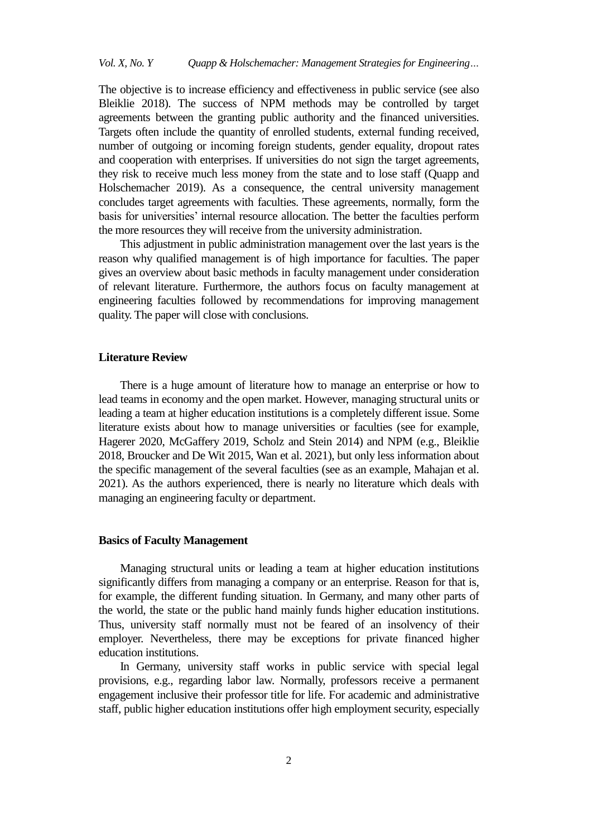The objective is to increase efficiency and effectiveness in public service (see also Bleiklie 2018). The success of NPM methods may be controlled by target agreements between the granting public authority and the financed universities. Targets often include the quantity of enrolled students, external funding received, number of outgoing or incoming foreign students, gender equality, dropout rates and cooperation with enterprises. If universities do not sign the target agreements, they risk to receive much less money from the state and to lose staff (Quapp and Holschemacher 2019). As a consequence, the central university management concludes target agreements with faculties. These agreements, normally, form the basis for universities' internal resource allocation. The better the faculties perform the more resources they will receive from the university administration.

This adjustment in public administration management over the last years is the reason why qualified management is of high importance for faculties. The paper gives an overview about basic methods in faculty management under consideration of relevant literature. Furthermore, the authors focus on faculty management at engineering faculties followed by recommendations for improving management quality. The paper will close with conclusions.

## **Literature Review**

There is a huge amount of literature how to manage an enterprise or how to lead teams in economy and the open market. However, managing structural units or leading a team at higher education institutions is a completely different issue. Some literature exists about how to manage universities or faculties (see for example, Hagerer 2020, McGaffery 2019, Scholz and Stein 2014) and NPM (e.g., Bleiklie 2018, Broucker and De Wit 2015, Wan et al. 2021), but only less information about the specific management of the several faculties (see as an example, Mahajan et al. 2021). As the authors experienced, there is nearly no literature which deals with managing an engineering faculty or department.

# **Basics of Faculty Management**

Managing structural units or leading a team at higher education institutions significantly differs from managing a company or an enterprise. Reason for that is, for example, the different funding situation. In Germany, and many other parts of the world, the state or the public hand mainly funds higher education institutions. Thus, university staff normally must not be feared of an insolvency of their employer. Nevertheless, there may be exceptions for private financed higher education institutions.

In Germany, university staff works in public service with special legal provisions, e.g., regarding labor law. Normally, professors receive a permanent engagement inclusive their professor title for life. For academic and administrative staff, public higher education institutions offer high employment security, especially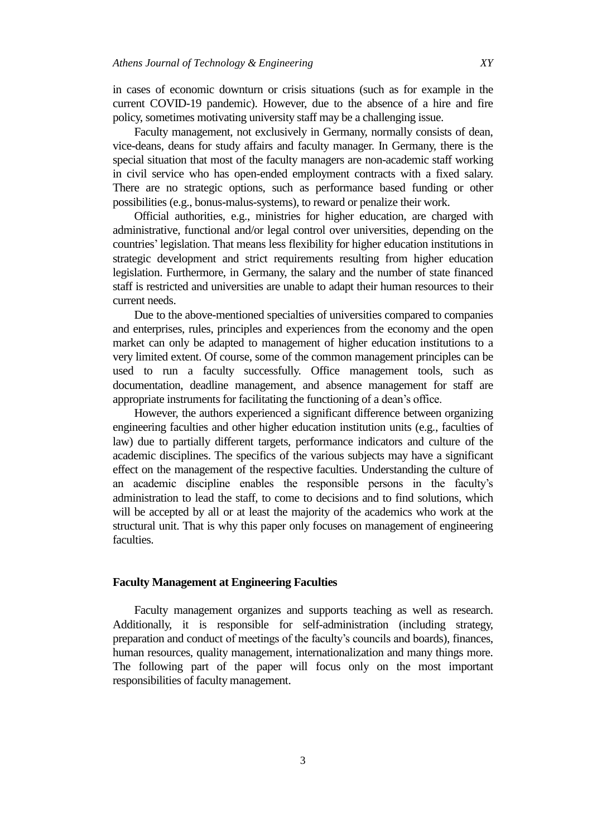in cases of economic downturn or crisis situations (such as for example in the current COVID-19 pandemic). However, due to the absence of a hire and fire policy, sometimes motivating university staff may be a challenging issue.

Faculty management, not exclusively in Germany, normally consists of dean, vice-deans, deans for study affairs and faculty manager. In Germany, there is the special situation that most of the faculty managers are non-academic staff working in civil service who has open-ended employment contracts with a fixed salary. There are no strategic options, such as performance based funding or other possibilities (e.g., bonus-malus-systems), to reward or penalize their work.

Official authorities, e.g., ministries for higher education, are charged with administrative, functional and/or legal control over universities, depending on the countries' legislation. That means less flexibility for higher education institutions in strategic development and strict requirements resulting from higher education legislation. Furthermore, in Germany, the salary and the number of state financed staff is restricted and universities are unable to adapt their human resources to their current needs.

Due to the above-mentioned specialties of universities compared to companies and enterprises, rules, principles and experiences from the economy and the open market can only be adapted to management of higher education institutions to a very limited extent. Of course, some of the common management principles can be used to run a faculty successfully. Office management tools, such as documentation, deadline management, and absence management for staff are appropriate instruments for facilitating the functioning of a dean's office.

However, the authors experienced a significant difference between organizing engineering faculties and other higher education institution units (e.g., faculties of law) due to partially different targets, performance indicators and culture of the academic disciplines. The specifics of the various subjects may have a significant effect on the management of the respective faculties. Understanding the culture of an academic discipline enables the responsible persons in the faculty's administration to lead the staff, to come to decisions and to find solutions, which will be accepted by all or at least the majority of the academics who work at the structural unit. That is why this paper only focuses on management of engineering faculties.

## **Faculty Management at Engineering Faculties**

Faculty management organizes and supports teaching as well as research. Additionally, it is responsible for self-administration (including strategy, preparation and conduct of meetings of the faculty's councils and boards), finances, human resources, quality management, internationalization and many things more. The following part of the paper will focus only on the most important responsibilities of faculty management.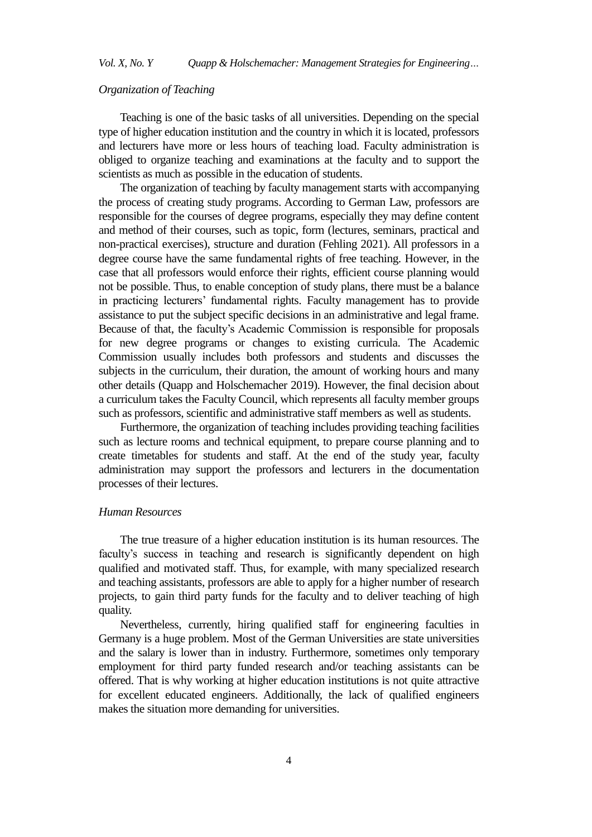## *Organization of Teaching*

Teaching is one of the basic tasks of all universities. Depending on the special type of higher education institution and the country in which it is located, professors and lecturers have more or less hours of teaching load. Faculty administration is obliged to organize teaching and examinations at the faculty and to support the scientists as much as possible in the education of students.

The organization of teaching by faculty management starts with accompanying the process of creating study programs. According to German Law, professors are responsible for the courses of degree programs, especially they may define content and method of their courses, such as topic, form (lectures, seminars, practical and non-practical exercises), structure and duration (Fehling 2021). All professors in a degree course have the same fundamental rights of free teaching. However, in the case that all professors would enforce their rights, efficient course planning would not be possible. Thus, to enable conception of study plans, there must be a balance in practicing lecturers' fundamental rights. Faculty management has to provide assistance to put the subject specific decisions in an administrative and legal frame. Because of that, the faculty's Academic Commission is responsible for proposals for new degree programs or changes to existing curricula. The Academic Commission usually includes both professors and students and discusses the subjects in the curriculum, their duration, the amount of working hours and many other details (Quapp and Holschemacher 2019). However, the final decision about a curriculum takes the Faculty Council, which represents all faculty member groups such as professors, scientific and administrative staff members as well as students.

Furthermore, the organization of teaching includes providing teaching facilities such as lecture rooms and technical equipment, to prepare course planning and to create timetables for students and staff. At the end of the study year, faculty administration may support the professors and lecturers in the documentation processes of their lectures.

#### *Human Resources*

The true treasure of a higher education institution is its human resources. The faculty's success in teaching and research is significantly dependent on high qualified and motivated staff. Thus, for example, with many specialized research and teaching assistants, professors are able to apply for a higher number of research projects, to gain third party funds for the faculty and to deliver teaching of high quality.

Nevertheless, currently, hiring qualified staff for engineering faculties in Germany is a huge problem. Most of the German Universities are state universities and the salary is lower than in industry. Furthermore, sometimes only temporary employment for third party funded research and/or teaching assistants can be offered. That is why working at higher education institutions is not quite attractive for excellent educated engineers. Additionally, the lack of qualified engineers makes the situation more demanding for universities.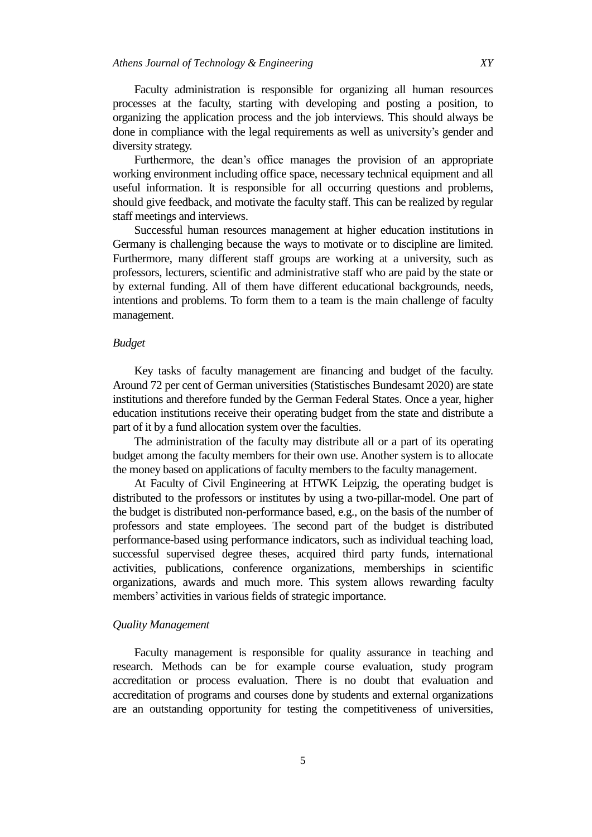Faculty administration is responsible for organizing all human resources processes at the faculty, starting with developing and posting a position, to organizing the application process and the job interviews. This should always be done in compliance with the legal requirements as well as university's gender and diversity strategy.

Furthermore, the dean's office manages the provision of an appropriate working environment including office space, necessary technical equipment and all useful information. It is responsible for all occurring questions and problems, should give feedback, and motivate the faculty staff. This can be realized by regular staff meetings and interviews.

Successful human resources management at higher education institutions in Germany is challenging because the ways to motivate or to discipline are limited. Furthermore, many different staff groups are working at a university, such as professors, lecturers, scientific and administrative staff who are paid by the state or by external funding. All of them have different educational backgrounds, needs, intentions and problems. To form them to a team is the main challenge of faculty management.

#### *Budget*

Key tasks of faculty management are financing and budget of the faculty. Around 72 per cent of German universities (Statistisches Bundesamt 2020) are state institutions and therefore funded by the German Federal States. Once a year, higher education institutions receive their operating budget from the state and distribute a part of it by a fund allocation system over the faculties.

The administration of the faculty may distribute all or a part of its operating budget among the faculty members for their own use. Another system is to allocate the money based on applications of faculty members to the faculty management.

At Faculty of Civil Engineering at HTWK Leipzig, the operating budget is distributed to the professors or institutes by using a two-pillar-model. One part of the budget is distributed non-performance based, e.g., on the basis of the number of professors and state employees. The second part of the budget is distributed performance-based using performance indicators, such as individual teaching load, successful supervised degree theses, acquired third party funds, international activities, publications, conference organizations, memberships in scientific organizations, awards and much more. This system allows rewarding faculty members' activities in various fields of strategic importance.

## *Quality Management*

Faculty management is responsible for quality assurance in teaching and research. Methods can be for example course evaluation, study program accreditation or process evaluation. There is no doubt that evaluation and accreditation of programs and courses done by students and external organizations are an outstanding opportunity for testing the competitiveness of universities,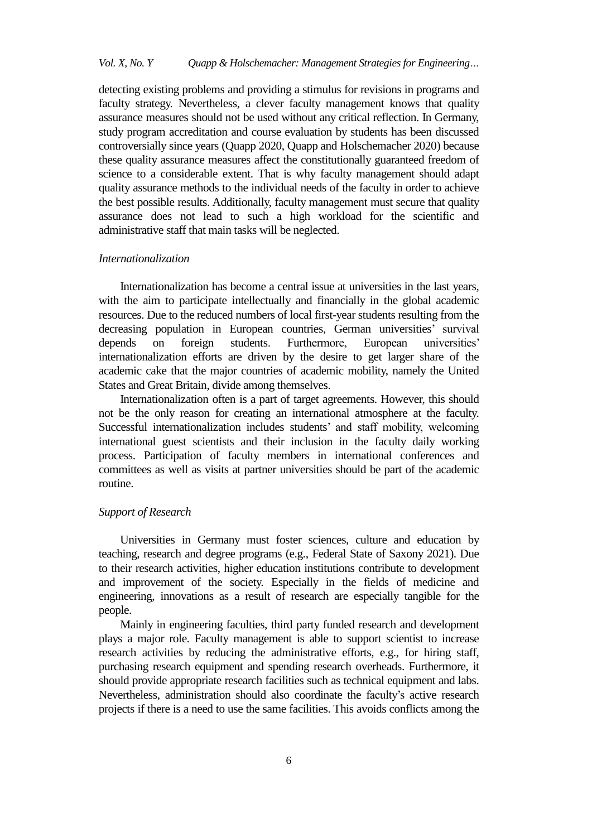detecting existing problems and providing a stimulus for revisions in programs and faculty strategy. Nevertheless, a clever faculty management knows that quality assurance measures should not be used without any critical reflection. In Germany, study program accreditation and course evaluation by students has been discussed controversially since years (Quapp 2020, Quapp and Holschemacher 2020) because these quality assurance measures affect the constitutionally guaranteed freedom of science to a considerable extent. That is why faculty management should adapt quality assurance methods to the individual needs of the faculty in order to achieve the best possible results. Additionally, faculty management must secure that quality assurance does not lead to such a high workload for the scientific and administrative staff that main tasks will be neglected.

## *Internationalization*

Internationalization has become a central issue at universities in the last years, with the aim to participate intellectually and financially in the global academic resources. Due to the reduced numbers of local first-year students resulting from the decreasing population in European countries, German universities' survival depends on foreign students. Furthermore, European universities' internationalization efforts are driven by the desire to get larger share of the academic cake that the major countries of academic mobility, namely the United States and Great Britain, divide among themselves.

Internationalization often is a part of target agreements. However, this should not be the only reason for creating an international atmosphere at the faculty. Successful internationalization includes students' and staff mobility, welcoming international guest scientists and their inclusion in the faculty daily working process. Participation of faculty members in international conferences and committees as well as visits at partner universities should be part of the academic routine.

## *Support of Research*

Universities in Germany must foster sciences, culture and education by teaching, research and degree programs (e.g., Federal State of Saxony 2021). Due to their research activities, higher education institutions contribute to development and improvement of the society. Especially in the fields of medicine and engineering, innovations as a result of research are especially tangible for the people.

Mainly in engineering faculties, third party funded research and development plays a major role. Faculty management is able to support scientist to increase research activities by reducing the administrative efforts, e.g., for hiring staff, purchasing research equipment and spending research overheads. Furthermore, it should provide appropriate research facilities such as technical equipment and labs. Nevertheless, administration should also coordinate the faculty's active research projects if there is a need to use the same facilities. This avoids conflicts among the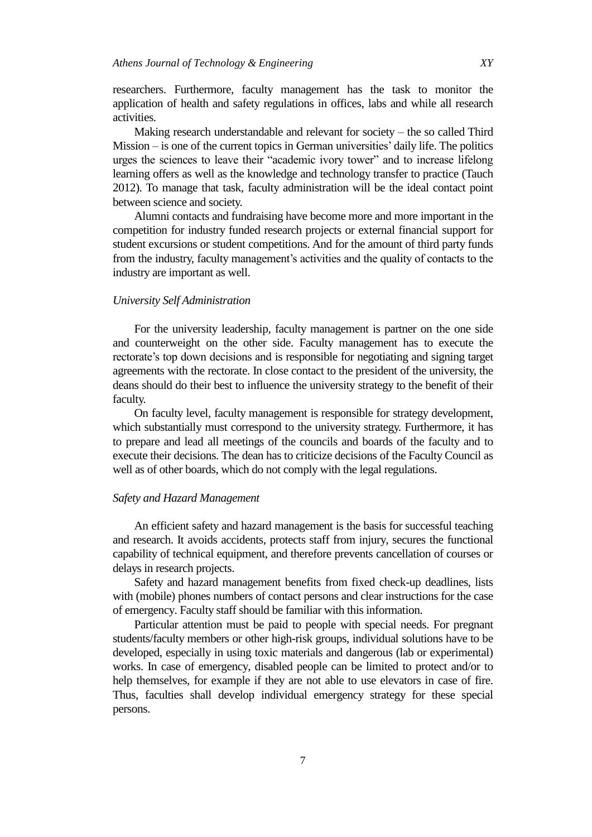researchers. Furthermore, faculty management has the task to monitor the application of health and safety regulations in offices, labs and while all research activities.

Making research understandable and relevant for society – the so called Third Mission – is one of the current topics in German universities' daily life. The politics urges the sciences to leave their "academic ivory tower" and to increase lifelong learning offers as well as the knowledge and technology transfer to practice (Tauch 2012). To manage that task, faculty administration will be the ideal contact point between science and society.

Alumni contacts and fundraising have become more and more important in the competition for industry funded research projects or external financial support for student excursions or student competitions. And for the amount of third party funds from the industry, faculty management's activities and the quality of contacts to the industry are important as well.

## *University Self Administration*

For the university leadership, faculty management is partner on the one side and counterweight on the other side. Faculty management has to execute the rectorate's top down decisions and is responsible for negotiating and signing target agreements with the rectorate. In close contact to the president of the university, the deans should do their best to influence the university strategy to the benefit of their faculty.

On faculty level, faculty management is responsible for strategy development, which substantially must correspond to the university strategy. Furthermore, it has to prepare and lead all meetings of the councils and boards of the faculty and to execute their decisions. The dean has to criticize decisions of the Faculty Council as well as of other boards, which do not comply with the legal regulations.

## *Safety and Hazard Management*

An efficient safety and hazard management is the basis for successful teaching and research. It avoids accidents, protects staff from injury, secures the functional capability of technical equipment, and therefore prevents cancellation of courses or delays in research projects.

Safety and hazard management benefits from fixed check-up deadlines, lists with (mobile) phones numbers of contact persons and clear instructions for the case of emergency. Faculty staff should be familiar with this information.

Particular attention must be paid to people with special needs. For pregnant students/faculty members or other high-risk groups, individual solutions have to be developed, especially in using toxic materials and dangerous (lab or experimental) works. In case of emergency, disabled people can be limited to protect and/or to help themselves, for example if they are not able to use elevators in case of fire. Thus, faculties shall develop individual emergency strategy for these special persons.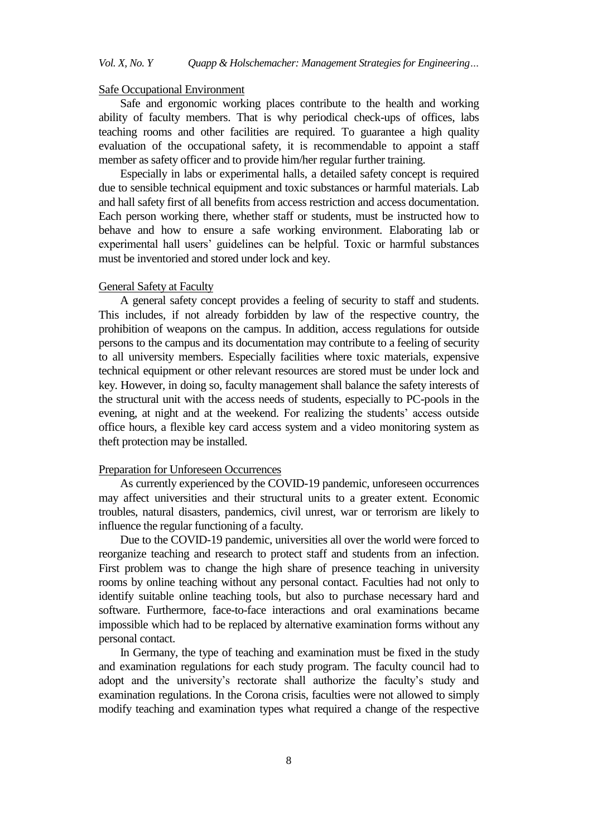# *Vol. X, No. Y Quapp & Holschemacher: Management Strategies for Engineering…*

#### Safe Occupational Environment

Safe and ergonomic working places contribute to the health and working ability of faculty members. That is why periodical check-ups of offices, labs teaching rooms and other facilities are required. To guarantee a high quality evaluation of the occupational safety, it is recommendable to appoint a staff member as safety officer and to provide him/her regular further training.

Especially in labs or experimental halls, a detailed safety concept is required due to sensible technical equipment and toxic substances or harmful materials. Lab and hall safety first of all benefits from access restriction and access documentation. Each person working there, whether staff or students, must be instructed how to behave and how to ensure a safe working environment. Elaborating lab or experimental hall users' guidelines can be helpful. Toxic or harmful substances must be inventoried and stored under lock and key.

#### General Safety at Faculty

A general safety concept provides a feeling of security to staff and students. This includes, if not already forbidden by law of the respective country, the prohibition of weapons on the campus. In addition, access regulations for outside persons to the campus and its documentation may contribute to a feeling of security to all university members. Especially facilities where toxic materials, expensive technical equipment or other relevant resources are stored must be under lock and key. However, in doing so, faculty management shall balance the safety interests of the structural unit with the access needs of students, especially to PC-pools in the evening, at night and at the weekend. For realizing the students' access outside office hours, a flexible key card access system and a video monitoring system as theft protection may be installed.

#### Preparation for Unforeseen Occurrences

As currently experienced by the COVID-19 pandemic, unforeseen occurrences may affect universities and their structural units to a greater extent. Economic troubles, natural disasters, pandemics, civil unrest, war or terrorism are likely to influence the regular functioning of a faculty.

Due to the COVID-19 pandemic, universities all over the world were forced to reorganize teaching and research to protect staff and students from an infection. First problem was to change the high share of presence teaching in university rooms by online teaching without any personal contact. Faculties had not only to identify suitable online teaching tools, but also to purchase necessary hard and software. Furthermore, face-to-face interactions and oral examinations became impossible which had to be replaced by alternative examination forms without any personal contact.

In Germany, the type of teaching and examination must be fixed in the study and examination regulations for each study program. The faculty council had to adopt and the university's rectorate shall authorize the faculty's study and examination regulations. In the Corona crisis, faculties were not allowed to simply modify teaching and examination types what required a change of the respective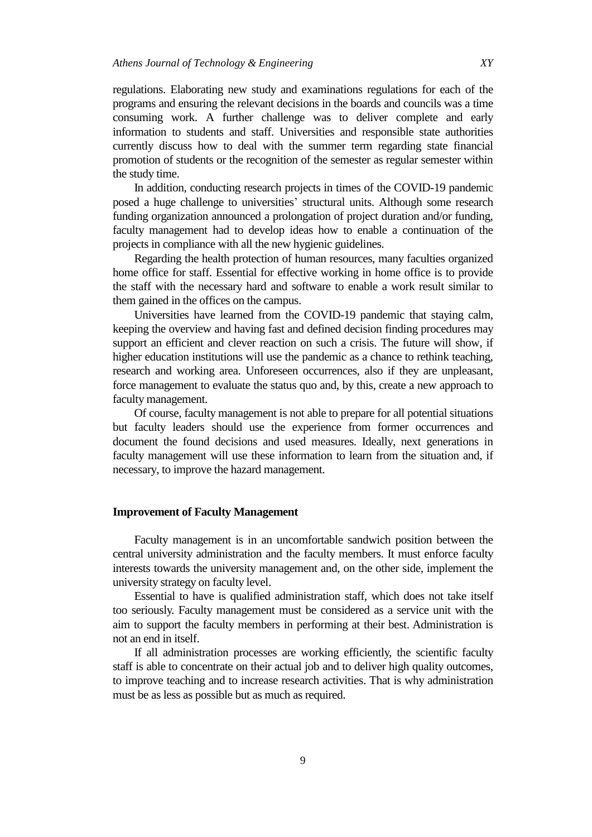regulations. Elaborating new study and examinations regulations for each of the programs and ensuring the relevant decisions in the boards and councils was a time consuming work. A further challenge was to deliver complete and early information to students and staff. Universities and responsible state authorities currently discuss how to deal with the summer term regarding state financial promotion of students or the recognition of the semester as regular semester within the study time.

In addition, conducting research projects in times of the COVID-19 pandemic posed a huge challenge to universities' structural units. Although some research funding organization announced a prolongation of project duration and/or funding, faculty management had to develop ideas how to enable a continuation of the projects in compliance with all the new hygienic guidelines.

Regarding the health protection of human resources, many faculties organized home office for staff. Essential for effective working in home office is to provide the staff with the necessary hard and software to enable a work result similar to them gained in the offices on the campus.

Universities have learned from the COVID-19 pandemic that staying calm, keeping the overview and having fast and defined decision finding procedures may support an efficient and clever reaction on such a crisis. The future will show, if higher education institutions will use the pandemic as a chance to rethink teaching, research and working area. Unforeseen occurrences, also if they are unpleasant, force management to evaluate the status quo and, by this, create a new approach to faculty management.

Of course, faculty management is not able to prepare for all potential situations but faculty leaders should use the experience from former occurrences and document the found decisions and used measures. Ideally, next generations in faculty management will use these information to learn from the situation and, if necessary, to improve the hazard management.

#### **Improvement of Faculty Management**

Faculty management is in an uncomfortable sandwich position between the central university administration and the faculty members. It must enforce faculty interests towards the university management and, on the other side, implement the university strategy on faculty level.

Essential to have is qualified administration staff, which does not take itself too seriously. Faculty management must be considered as a service unit with the aim to support the faculty members in performing at their best. Administration is not an end in itself.

If all administration processes are working efficiently, the scientific faculty staff is able to concentrate on their actual job and to deliver high quality outcomes, to improve teaching and to increase research activities. That is why administration must be as less as possible but as much as required.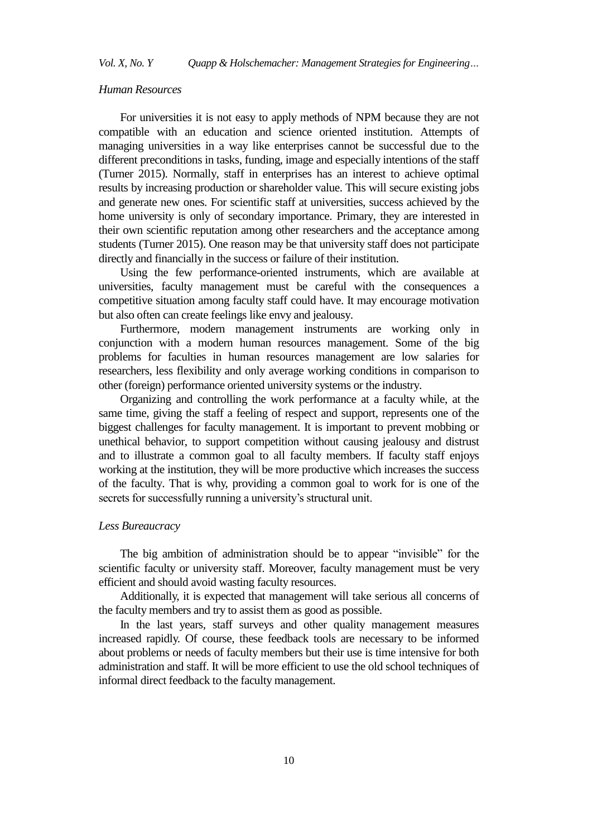## *Human Resources*

For universities it is not easy to apply methods of NPM because they are not compatible with an education and science oriented institution. Attempts of managing universities in a way like enterprises cannot be successful due to the different preconditions in tasks, funding, image and especially intentions of the staff (Turner 2015). Normally, staff in enterprises has an interest to achieve optimal results by increasing production or shareholder value. This will secure existing jobs and generate new ones. For scientific staff at universities, success achieved by the home university is only of secondary importance. Primary, they are interested in their own scientific reputation among other researchers and the acceptance among students (Turner 2015). One reason may be that university staff does not participate directly and financially in the success or failure of their institution.

Using the few performance-oriented instruments, which are available at universities, faculty management must be careful with the consequences a competitive situation among faculty staff could have. It may encourage motivation but also often can create feelings like envy and jealousy.

Furthermore, modern management instruments are working only in conjunction with a modern human resources management. Some of the big problems for faculties in human resources management are low salaries for researchers, less flexibility and only average working conditions in comparison to other (foreign) performance oriented university systems or the industry.

Organizing and controlling the work performance at a faculty while, at the same time, giving the staff a feeling of respect and support, represents one of the biggest challenges for faculty management. It is important to prevent mobbing or unethical behavior, to support competition without causing jealousy and distrust and to illustrate a common goal to all faculty members. If faculty staff enjoys working at the institution, they will be more productive which increases the success of the faculty. That is why, providing a common goal to work for is one of the secrets for successfully running a university's structural unit.

#### *Less Bureaucracy*

The big ambition of administration should be to appear "invisible" for the scientific faculty or university staff. Moreover, faculty management must be very efficient and should avoid wasting faculty resources.

Additionally, it is expected that management will take serious all concerns of the faculty members and try to assist them as good as possible.

In the last years, staff surveys and other quality management measures increased rapidly. Of course, these feedback tools are necessary to be informed about problems or needs of faculty members but their use is time intensive for both administration and staff. It will be more efficient to use the old school techniques of informal direct feedback to the faculty management.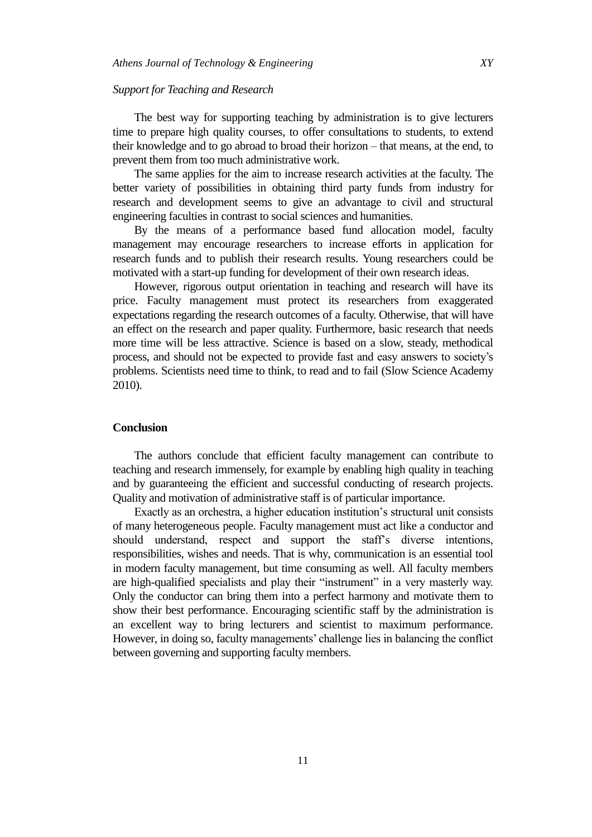#### *Support for Teaching and Research*

The best way for supporting teaching by administration is to give lecturers time to prepare high quality courses, to offer consultations to students, to extend their knowledge and to go abroad to broad their horizon – that means, at the end, to prevent them from too much administrative work.

The same applies for the aim to increase research activities at the faculty. The better variety of possibilities in obtaining third party funds from industry for research and development seems to give an advantage to civil and structural engineering faculties in contrast to social sciences and humanities.

By the means of a performance based fund allocation model, faculty management may encourage researchers to increase efforts in application for research funds and to publish their research results. Young researchers could be motivated with a start-up funding for development of their own research ideas.

However, rigorous output orientation in teaching and research will have its price. Faculty management must protect its researchers from exaggerated expectations regarding the research outcomes of a faculty. Otherwise, that will have an effect on the research and paper quality. Furthermore, basic research that needs more time will be less attractive. Science is based on a slow, steady, methodical process, and should not be expected to provide fast and easy answers to society's problems. Scientists need time to think, to read and to fail (Slow Science Academy 2010).

## **Conclusion**

The authors conclude that efficient faculty management can contribute to teaching and research immensely, for example by enabling high quality in teaching and by guaranteeing the efficient and successful conducting of research projects. Quality and motivation of administrative staff is of particular importance.

Exactly as an orchestra, a higher education institution's structural unit consists of many heterogeneous people. Faculty management must act like a conductor and should understand, respect and support the staff's diverse intentions, responsibilities, wishes and needs. That is why, communication is an essential tool in modern faculty management, but time consuming as well. All faculty members are high-qualified specialists and play their "instrument" in a very masterly way. Only the conductor can bring them into a perfect harmony and motivate them to show their best performance. Encouraging scientific staff by the administration is an excellent way to bring lecturers and scientist to maximum performance. However, in doing so, faculty managements' challenge lies in balancing the conflict between governing and supporting faculty members.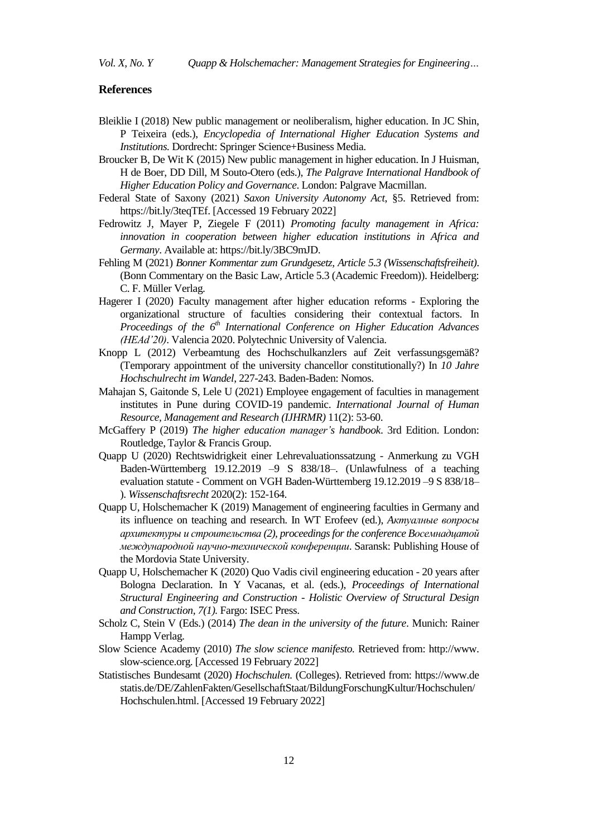#### **References**

- Bleiklie I (2018) New public management or neoliberalism, higher education. In JC Shin, P Teixeira (eds.), *Encyclopedia of International Higher Education Systems and Institutions.* Dordrecht: Springer Science+Business Media.
- Broucker B, De Wit K (2015) New public management in higher education. In J Huisman, H de Boer, DD Dill, M Souto-Otero (eds.), *The Palgrave International Handbook of Higher Education Policy and Governance*. London: Palgrave Macmillan.
- Federal State of Saxony (2021) *Saxon University Autonomy Act*, §5. Retrieved from: [https://bit.ly/3teqTEf.](https://bit.ly/3teqTEf) [Accessed 19 February 2022]
- Fedrowitz J, Mayer P, Ziegele F (2011) *Promoting faculty management in Africa: innovation in cooperation between higher education institutions in Africa and Germany*. Available at[: https://bit.ly/3BC9mJD.](https://bit.ly/3BC9mJD)
- Fehling M (2021) *Bonner Kommentar zum Grundgesetz, Article 5.3 (Wissenschaftsfreiheit)*. (Bonn Commentary on the Basic Law, Article 5.3 (Academic Freedom)). Heidelberg: C. F. Müller Verlag.
- Hagerer I (2020) Faculty management after higher education reforms Exploring the organizational structure of faculties considering their contextual factors. In *Proceedings of the 6th International Conference on Higher Education Advances (HEAd'20)*. Valencia 2020. Polytechnic University of Valencia.
- Knopp L (2012) Verbeamtung des Hochschulkanzlers auf Zeit verfassungsgemäß? (Temporary appointment of the university chancellor constitutionally?) In *10 Jahre Hochschulrecht im Wandel*, 227-243. Baden-Baden: Nomos.
- Mahajan S, Gaitonde S, Lele U (2021) Employee engagement of faculties in management institutes in Pune during COVID-19 pandemic. *International Journal of Human Resource, Management and Research (IJHRMR)* 11(2): 53-60.
- McGaffery P (2019) *The higher education manager's handbook*. 3rd Edition. London: Routledge, Taylor & Francis Group.
- Quapp U (2020) Rechtswidrigkeit einer Lehrevaluationssatzung Anmerkung zu VGH Baden-Württemberg 19.12.2019 –9 S 838/18–. (Unlawfulness of a teaching evaluation statute - Comment on VGH Baden-Württemberg 19.12.2019 –9 S 838/18– ). *Wissenschaftsrecht* 2020(2): 152-164.
- Quapp U, Holschemacher K (2019) Management of engineering faculties in Germany and its influence on teaching and research. In WT Erofeev (ed.), *Aктуалные вопросы архитектуры и строительства (2), proceedings for the conference Bосемнадцатой международной научно-технической конференции*. Saransk: Publishing House of the Mordovia State University.
- Quapp U, Holschemacher K (2020) Quo Vadis civil engineering education 20 years after Bologna Declaration. In Y Vacanas, et al. (eds.), *Proceedings of International Structural Engineering and Construction - Holistic Overview of Structural Design and Construction, 7(1).* Fargo: ISEC Press.
- Scholz C, Stein V (Eds.) (2014) *The dean in the university of the future*. Munich: Rainer Hampp Verlag.
- Slow Science Academy (2010) *The slow science manifesto.* Retrieved from: http://www. slow-science.org. [Accessed 19 February 2022]
- Statistisches Bundesamt (2020) *Hochschulen.* (Colleges). Retrieved from: https://www.de statis.de/DE/ZahlenFakten/GesellschaftStaat/BildungForschungKultur/Hochschulen/ Hochschulen.html. [Accessed 19 February 2022]